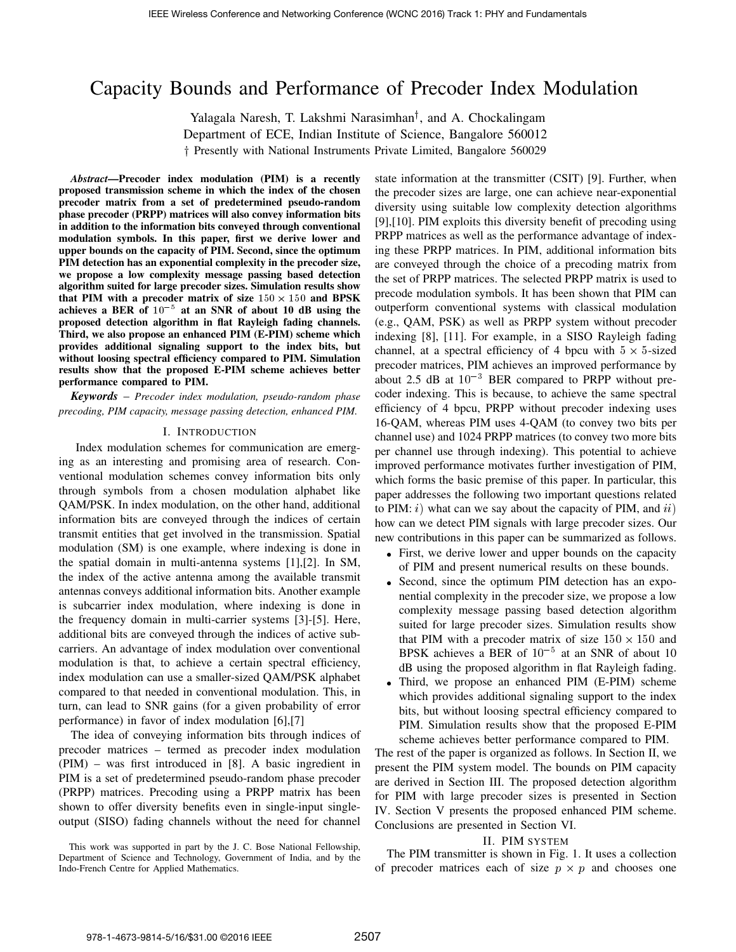# Capacity Bounds and Performance of Precoder Index Modulation

Yalagala Naresh, T. Lakshmi Narasimhan<sup>†</sup>, and A. Chockalingam Department of ECE, Indian Institute of Science, Bangalore 560012 <sup>†</sup> Presently with National Instruments Private Limited, Bangalore 560029

*Abstract*—Precoder index modulation (PIM) is a recently proposed transmission scheme in which the index of the chosen precoder matrix from a set of predetermined pseudo-random phase precoder (PRPP) matrices will also convey information bits in addition to the information bits conveyed through conventional modulation symbols. In this paper, first we derive lower and upper bounds on the capacity of PIM. Second, since the optimum PIM detection has an exponential complexity in the precoder size, we propose a low complexity message passing based detection algorithm suited for large precoder sizes. Simulation results show that PIM with a precoder matrix of size  $150 \times 150$  and BPSK achieves a BER of  $10^{-5}$  at an SNR of about 10 dB using the proposed detection algorithm in flat Rayleigh fading channels. Third, we also propose an enhanced PIM (E-PIM) scheme which provides additional signaling support to the index bits, but without loosing spectral efficiency compared to PIM. Simulation results show that the proposed E-PIM scheme achieves better performance compared to PIM.

*Keywords* – *Precoder index modulation, pseudo-random phase precoding, PIM capacity, message passing detection, enhanced PIM.*

#### I. INTRODUCTION

Index modulation schemes for communication are emerging as an interesting and promising area of research. Conventional modulation schemes convey information bits only through symbols from a chosen modulation alphabet like QAM/PSK. In index modulation, on the other hand, additional information bits are conveyed through the indices of certain transmit entities that get involved in the transmission. Spatial modulation (SM) is one example, where indexing is done in the spatial domain in multi-antenna systems [1],[2]. In SM, the index of the active antenna among the available transmit antennas conveys additional information bits. Another example is subcarrier index modulation, where indexing is done in the frequency domain in multi-carrier systems [3]-[5]. Here, additional bits are conveyed through the indices of active subcarriers. An advantage of index modulation over conventional modulation is that, to achieve a certain spectral efficiency, index modulation can use a smaller-sized QAM/PSK alphabet compared to that needed in conventional modulation. This, in turn, can lead to SNR gains (for a given probability of error performance) in favor of index modulation [6],[7]

The idea of conveying information bits through indices of precoder matrices – termed as precoder index modulation (PIM) – was first introduced in [8]. A basic ingredient in PIM is a set of predetermined pseudo-random phase precoder (PRPP) matrices. Precoding using a PRPP matrix has been shown to offer diversity benefits even in single-input singleoutput (SISO) fading channels without the need for channel

This work was supported in part by the J. C. Bose National Fellowship, Department of Science and Technology, Government of India, and by the Indo-French Centre for Applied Mathematics.

state information at the transmitter (CSIT) [9]. Further, when the precoder sizes are large, one can achieve near-exponential diversity using suitable low complexity detection algorithms [9],[10]. PIM exploits this diversity benefit of precoding using PRPP matrices as well as the performance advantage of indexing these PRPP matrices. In PIM, additional information bits are conveyed through the choice of a precoding matrix from the set of PRPP matrices. The selected PRPP matrix is used to precode modulation symbols. It has been shown that PIM can outperform conventional systems with classical modulation (e.g., QAM, PSK) as well as PRPP system without precoder indexing [8], [11]. For example, in a SISO Rayleigh fading channel, at a spectral efficiency of 4 bpcu with  $5 \times 5$ -sized precoder matrices, PIM achieves an improved performance by about 2.5 dB at  $10^{-3}$  BER compared to PRPP without precoder indexing. This is because, to achieve the same spectral efficiency of 4 bpcu, PRPP without precoder indexing uses 16-QAM, whereas PIM uses 4-QAM (to convey two bits per channel use) and 1024 PRPP matrices (to convey two more bits per channel use through indexing). This potential to achieve improved performance motivates further investigation of PIM, which forms the basic premise of this paper. In particular, this paper addresses the following two important questions related to PIM:  $i)$  what can we say about the capacity of PIM, and  $ii)$ how can we detect PIM signals with large precoder sizes. Our new contributions in this paper can be summarized as follows.

- First, we derive lower and upper bounds on the capacity of PIM and present numerical results on these bounds.
- Second, since the optimum PIM detection has an exponential complexity in the precoder size, we propose a low complexity message passing based detection algorithm suited for large precoder sizes. Simulation results show that PIM with a precoder matrix of size  $150 \times 150$  and BPSK achieves a BER of  $10^{-5}$  at an SNR of about 10 dB using the proposed algorithm in flat Rayleigh fading.
- Third, we propose an enhanced PIM (E-PIM) scheme which provides additional signaling support to the index bits, but without loosing spectral efficiency compared to PIM. Simulation results show that the proposed E-PIM scheme achieves better performance compared to PIM.

The rest of the paper is organized as follows. In Section II, we present the PIM system model. The bounds on PIM capacity are derived in Section III. The proposed detection algorithm for PIM with large precoder sizes is presented in Section IV. Section V presents the proposed enhanced PIM scheme. Conclusions are presented in Section VI.

# II. PIM SYSTEM

The PIM transmitter is shown in Fig. 1. It uses a collection of precoder matrices each of size  $p \times p$  and chooses one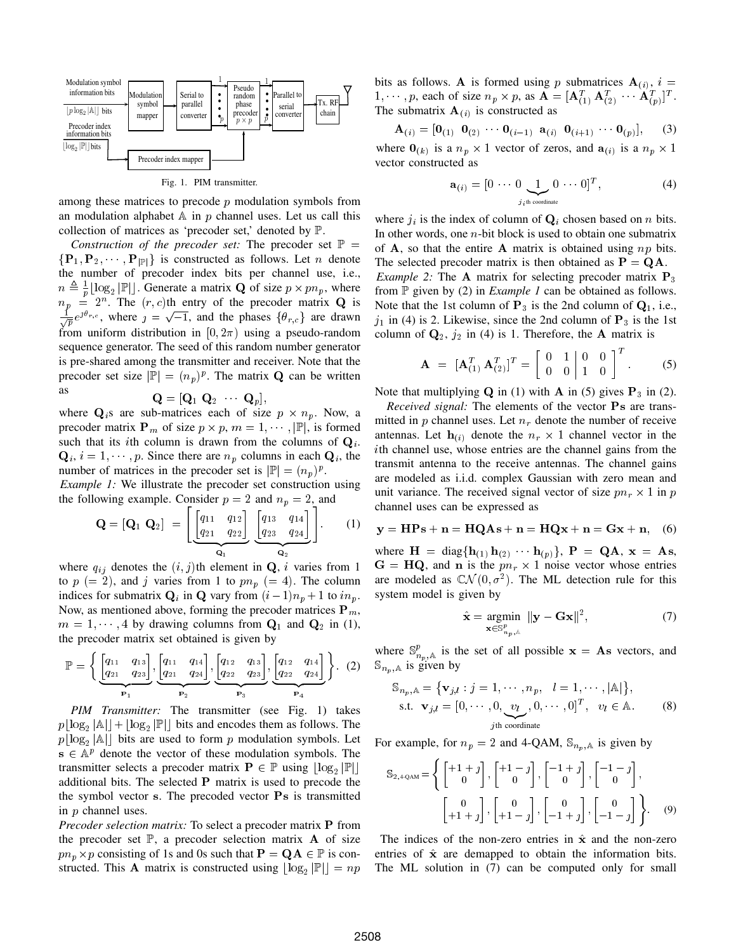

Fig. 1. PIM transmitter.

among these matrices to precode  $p$  modulation symbols from an modulation alphabet  $A$  in  $p$  channel uses. Let us call this collection of matrices as 'precoder set,' denoted by P.

*Construction of the precoder set:* The precoder set  $\mathbb{P}$  =  $\{P_1, P_2, \dots, P_{|\mathbb{P}|}\}\$  is constructed as follows. Let *n* denote the number of precoder index bits per channel use, i.e.,  $n \triangleq \frac{1}{p} \lfloor \log_2 |\mathbb{P}| \rfloor$ . Generate a matrix **Q** of size  $p \times pn_p$ , where  $n_p = 2^n$ . The  $(r, c)$ th entry of the precoder matrix **Q** is  $\frac{1}{\sqrt{p}}e^{\jmath\theta_{r,c}}$ , where  $j = \sqrt{-1}$ , and the phases  $\{\theta_{r,c}\}\$ are drawn from uniform distribution in  $[0, 2\pi)$  using a pseudo-random sequence generator. The seed of this random number generator is pre-shared among the transmitter and receiver. Note that the precoder set size  $|\mathbb{P}| = (n_p)^p$ . The matrix **Q** can be written as  $\mathbf{Q} = [\mathbf{Q}_1 \ \mathbf{Q}_2 \ \cdots \ \mathbf{Q}_p],$ 

$$
\mathbf{Q} = [\mathbf{Q}_1 \enspace \mathbf{Q}_2 \enspace \qquad \mathbf{Q}_p]
$$

where  $\mathbf{Q}_i$ s are sub-matrices each of size  $p \times n_p$ . Now, a precoder matrix  $\mathbf{P}_m$  of size  $p \times p$ ,  $m = 1, \dots, |\mathbb{P}|$ , is formed such that its *i*th column is drawn from the columns of  $Q_i$ .  $\mathbf{Q}_i$ ,  $i = 1, \dots, p$ . Since there are  $n_p$  columns in each  $\mathbf{Q}_i$ , the number of matrices in the precoder set is  $|\mathbb{P}| = (n_p)^p$ .

*Example 1:* We illustrate the precoder set construction using the following example. Consider  $p = 2$  and  $n_p = 2$ , and

$$
\mathbf{Q} = [\mathbf{Q}_1 \ \mathbf{Q}_2] = \left[ \underbrace{\begin{bmatrix} q_{11} & q_{12} \\ q_{21} & q_{22} \end{bmatrix}}_{\mathbf{Q}_1} \underbrace{\begin{bmatrix} q_{13} & q_{14} \\ q_{23} & q_{24} \end{bmatrix}}_{\mathbf{Q}_2} \right].
$$
 (1)

where  $q_{ij}$  denotes the  $(i, j)$ th element in Q, i varies from 1 to  $p (= 2)$ , and j varies from 1 to  $p n_p (= 4)$ . The column indices for submatrix  $\mathbf{Q}_i$  in  $\mathbf{Q}$  vary from  $(i-1)n_p + 1$  to  $in_p$ . Now, as mentioned above, forming the precoder matrices  $P_m$ ,  $m = 1, \dots, 4$  by drawing columns from  $Q_1$  and  $Q_2$  in (1), the precoder matrix set obtained is given by

$$
\mathbb{P} = \left\{ \underbrace{\begin{bmatrix} q_{11} & q_{13} \\ q_{21} & q_{23} \end{bmatrix}}_{\mathbf{P}_1}, \underbrace{\begin{bmatrix} q_{11} & q_{14} \\ q_{21} & q_{24} \end{bmatrix}}_{\mathbf{P}_2}, \underbrace{\begin{bmatrix} q_{12} & q_{13} \\ q_{22} & q_{23} \end{bmatrix}}_{\mathbf{P}_3}, \underbrace{\begin{bmatrix} q_{12} & q_{14} \\ q_{22} & q_{24} \end{bmatrix}}_{\mathbf{P}_4} \right\}.
$$
 (2)

*PIM Transmitter:* The transmitter (see Fig. 1) takes  $p\lfloor \log_2 |\mathbb{A}| \rfloor + \lfloor \log_2 |\mathbb{P}| \rfloor$  bits and encodes them as follows. The  $p\lfloor \log_2 |\mathbb{A}| \rfloor$  bits are used to form p modulation symbols. Let  $s \in \mathbb{A}^p$  denote the vector of these modulation symbols. The transmitter selects a precoder matrix  $P \in \mathbb{P}$  using  $\lfloor \log_2 |\mathbb{P}| \rfloor$ additional bits. The selected P matrix is used to precode the the symbol vector s. The precoded vector Ps is transmitted in p channel uses.

*Precoder selection matrix:* To select a precoder matrix P from the precoder set  $\mathbb{P}$ , a precoder selection matrix **A** of size  $p n_p \times p$  consisting of 1s and 0s such that  $\mathbf{P} = \mathbf{Q} \mathbf{A} \in \mathbb{P}$  is constructed. This **A** matrix is constructed using  $\lfloor \log_2 |\mathbb{P}| \rfloor = np$  bits as follows. A is formed using p submatrices  $A_{(i)}$ ,  $i =$ 1,  $\cdots$ , p, each of size  $n_p \times p$ , as  $\mathbf{A} = [\mathbf{A}_{(1)}^T \ \mathbf{A}_{(2)}^T \ \cdots \ \mathbf{A}_{(p)}^T]^T$ . The submatrix  $\mathbf{A}_{(i)}$  is constructed as

$$
\mathbf{A}_{(i)} = [\mathbf{0}_{(1)} \ \mathbf{0}_{(2)} \ \cdots \ \mathbf{0}_{(i-1)} \ \mathbf{a}_{(i)} \ \mathbf{0}_{(i+1)} \ \cdots \ \mathbf{0}_{(p)}], \qquad (3)
$$

where  $\mathbf{0}_{(k)}$  is a  $n_p \times 1$  vector of zeros, and  $\mathbf{a}_{(i)}$  is a  $n_p \times 1$ vector constructed as

$$
\mathbf{a}_{(i)} = [0 \cdots 0 \underbrace{1}_{j_i \text{th coordinate}} 0 \cdots 0]^T, \tag{4}
$$

where  $j_i$  is the index of column of  $\mathbf{Q}_i$  chosen based on n bits. In other words, one  $n$ -bit block is used to obtain one submatrix of  $A$ , so that the entire  $A$  matrix is obtained using  $np$  bits. The selected precoder matrix is then obtained as  $P = QA$ . *Example 2:* The **A** matrix for selecting precoder matrix  $P_3$ from  $\mathbb P$  given by (2) in *Example 1* can be obtained as follows. Note that the 1st column of  $P_3$  is the 2nd column of  $Q_1$ , i.e.,  $j_1$  in (4) is 2. Likewise, since the 2nd column of  $P_3$  is the 1st column of  $\mathbf{Q}_2$ ,  $j_2$  in (4) is 1. Therefore, the **A** matrix is

$$
\mathbf{A} = [\mathbf{A}_{(1)}^T \ \mathbf{A}_{(2)}^T ]^T = \begin{bmatrix} 0 & 1 & 0 & 0 \\ 0 & 0 & 1 & 0 \end{bmatrix}^T.
$$
 (5)

Note that multiplying  $Q$  in (1) with  $A$  in (5) gives  $P_3$  in (2).

*Received signal:* The elements of the vector Ps are transmitted in p channel uses. Let  $n_r$  denote the number of receive antennas. Let  $\mathbf{h}_{(i)}$  denote the  $n_r \times 1$  channel vector in the ith channel use, whose entries are the channel gains from the transmit antenna to the receive antennas. The channel gains are modeled as i.i.d. complex Gaussian with zero mean and unit variance. The received signal vector of size  $pn_r \times 1$  in p channel uses can be expressed as

$$
y = HPs + n = HQAs + n = HQx + n = Gx + n, \quad (6)
$$

where  $\mathbf{H} = \text{diag}\{\mathbf{h}_{(1)}\,\mathbf{h}_{(2)}\,\cdots\,\mathbf{h}_{(p)}\}$ ,  $\mathbf{P} = \mathbf{Q}\mathbf{A}$ ,  $\mathbf{x} = \mathbf{A}\mathbf{s}$ ,  $G = HQ$ , and n is the  $pn_r \times 1$  noise vector whose entries are modeled as  $CN(0, \sigma^2)$ . The ML detection rule for this system model is given by

$$
\hat{\mathbf{x}} = \underset{\mathbf{x} \in \mathbb{S}^p_{n_p, \mathbb{A}}}{\text{argmin}} \|\mathbf{y} - \mathbf{G}\mathbf{x}\|^2, \tag{7}
$$

where  $\mathbb{S}_{n_p,\mathbb{A}}^p$  is the set of all possible  $\mathbf{x} = \mathbf{A}\mathbf{s}$  vectors, and  $\mathbb{S}_{n_{n}}$  as given by

$$
\mathbb{S}_{n_p,\mathbb{A}} = \{ \mathbf{v}_{j,l} : j = 1, \cdots, n_p, \quad l = 1, \cdots, |\mathbb{A}|\},
$$
  
s.t.  $\mathbf{v}_{j,l} = [0, \cdots, 0, \underbrace{v_l}_{j\text{th coordinate}}, 0, \cdots, 0]^T, \quad v_l \in \mathbb{A}.$  (8)

For example, for  $n_p = 2$  and 4-QAM,  $\mathbb{S}_{n_p}$  is given by

$$
\mathbb{S}_{2,4\text{-QAM}} = \left\{ \begin{bmatrix} +1 & + & j \\ 0 & 0 \end{bmatrix}, \begin{bmatrix} +1 & - & j \\ 0 & 0 \end{bmatrix}, \begin{bmatrix} -1 & + & j \\ 0 & 0 \end{bmatrix}, \begin{bmatrix} -1 & - & j \\ 0 & 0 \end{bmatrix}, \begin{bmatrix} -1 & - & j \\ -1 & + & j \end{bmatrix}, \begin{bmatrix} 0 & 0 \\ -1 & -1 & j \end{bmatrix}, \begin{bmatrix} 0 & 0 \\ -1 & -1 & j \end{bmatrix} \right\}.
$$

The indices of the non-zero entries in  $\hat{x}$  and the non-zero entries of  $\hat{x}$  are demapped to obtain the information bits. The ML solution in (7) can be computed only for small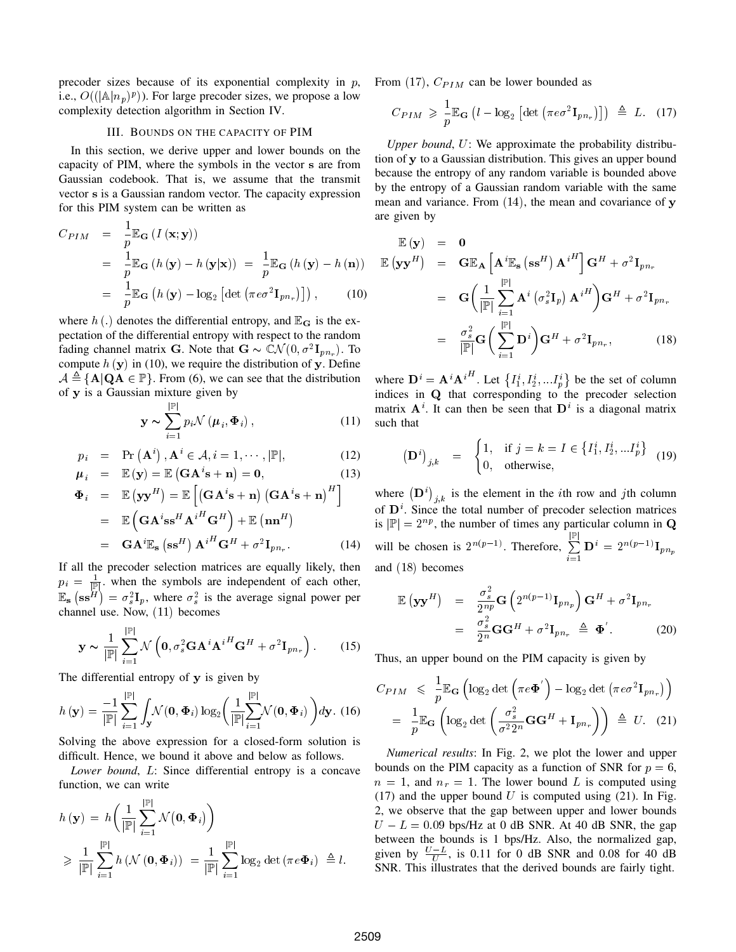precoder sizes because of its exponential complexity in  $p$ , i.e.,  $O((|\mathbb{A}|n_p)^p)$ ). For large precoder sizes, we propose a low complexity detection algorithm in Section IV.

#### III. BOUNDS ON THE CAPACITY OF PIM

In this section, we derive upper and lower bounds on the capacity of PIM, where the symbols in the vector s are from Gaussian codebook. That is, we assume that the transmit vector s is a Gaussian random vector. The capacity expression for this PIM system can be written as

$$
C_{PIM} = \frac{1}{p} \mathbb{E}_{\mathbf{G}} (I(\mathbf{x}; \mathbf{y}))
$$
  
= 
$$
\frac{1}{p} \mathbb{E}_{\mathbf{G}} (h(\mathbf{y}) - h(\mathbf{y}|\mathbf{x})) = \frac{1}{p} \mathbb{E}_{\mathbf{G}} (h(\mathbf{y}) - h(\mathbf{n}))
$$
  
= 
$$
\frac{1}{p} \mathbb{E}_{\mathbf{G}} (h(\mathbf{y}) - \log_2 [\det (\pi e \sigma^2 \mathbf{I}_{pn_r})]),
$$
 (10)

where  $h(.)$  denotes the differential entropy, and  $\mathbb{E}_{\mathbf{G}}$  is the expectation of the differential entropy with respect to the random fading channel matrix G. Note that  $G \sim \mathbb{C} \mathcal{N}(0, \sigma^2 \mathbf{I}_{pn_r})$ . To compute  $h(y)$  in (10), we require the distribution of y. Define  $A \triangleq {\bf{A}} | {\bf{QA}} \in \mathbb{P}$ . From (6), we can see that the distribution of y is a Gaussian mixture given by

$$
\mathbf{y} \sim \sum_{i=1}^{|\mathbb{P}|} p_i \mathcal{N} \left( \boldsymbol{\mu}_i, \boldsymbol{\Phi}_i \right), \tag{11}
$$

$$
p_i = \Pr(\mathbf{A}^i), \mathbf{A}^i \in \mathcal{A}, i = 1, \cdots, |\mathbb{P}|,
$$
\n(12)

$$
\mu_i = \mathbb{E}(\mathbf{y}) = \mathbb{E}(\mathbf{G}\mathbf{A}^i \mathbf{s} + \mathbf{n}) = \mathbf{0},\tag{13}
$$

$$
\begin{aligned}\n\Phi_i &= \mathbb{E}(\mathbf{y}\mathbf{y}^H) = \mathbb{E}\left[\left(\mathbf{G}\mathbf{A}^i\mathbf{s} + \mathbf{n}\right)\left(\mathbf{G}\mathbf{A}^i\mathbf{s} + \mathbf{n}\right)^H\right] \\
&= \mathbb{E}\left(\mathbf{G}\mathbf{A}^i\mathbf{s}\mathbf{s}^H\mathbf{A}^{iH}\mathbf{G}^H\right) + \mathbb{E}(\mathbf{n}\mathbf{n}^H) \\
&= \mathbf{G}\mathbf{A}^i\mathbb{E}_{\mathbf{s}}(\mathbf{s}\mathbf{s}^H)\mathbf{A}^{iH}\mathbf{G}^H + \sigma^2\mathbf{I}_{pn_r}.\n\end{aligned}
$$
\n(14)

If all the precoder selection matrices are equally likely, then  $p_i = \frac{1}{|\mathcal{F}|}$ , when the symbols are independent of each other,  $\mathbb{E}_{\mathbf{s}}\left(\mathbf{s}\mathbf{s}^H\right) = \sigma_s^2 \mathbf{I}_p$ , where  $\sigma_s^2$  is the average signal power per channel use. Now, (11) becomes

$$
\mathbf{y} \sim \frac{1}{|\mathbb{P}|} \sum_{i=1}^{|\mathbb{P}|} \mathcal{N}\left(\mathbf{0}, \sigma_s^2 \mathbf{G} \mathbf{A}^i \mathbf{A}^{iH} \mathbf{G}^H + \sigma^2 \mathbf{I}_{pn_r}\right).
$$
 (15)

The differential entropy of y is given by

$$
h(\mathbf{y}) = \frac{-1}{|\mathbb{P}|} \sum_{i=1}^{|\mathbb{P}|} \int_{\mathbf{y}} \mathcal{N}(\mathbf{0}, \mathbf{\Phi}_i) \log_2 \bigg( \frac{1}{|\mathbb{P}|} \sum_{i=1}^{|\mathbb{P}|} \mathcal{N}(\mathbf{0}, \mathbf{\Phi}_i) \bigg) d\mathbf{y}.
$$
 (16)

Solving the above expression for a closed-form solution is difficult. Hence, we bound it above and below as follows.

*Lower bound*, L: Since differential entropy is a concave function, we can write

$$
h(\mathbf{y}) = h\left(\frac{1}{|\mathbb{P}|}\sum_{i=1}^{|\mathbb{P}|} \mathcal{N}(\mathbf{0}, \Phi_i)\right)
$$
  
\$\geqslant \frac{1}{|\mathbb{P}|}\sum\_{i=1}^{|\mathbb{P}|} h(\mathcal{N}(\mathbf{0}, \Phi\_i)) = \frac{1}{|\mathbb{P}|}\sum\_{i=1}^{|\mathbb{P}|} \log\_2 \det (\pi e \Phi\_i) \triangleq l\$.

From (17),  $C_{PIM}$  can be lower bounded as

$$
C_{PIM} \geqslant \frac{1}{p} \mathbb{E}_{\mathbf{G}} \left( l - \log_2 \left[ \det \left( \pi e \sigma^2 \mathbf{I}_{p n_r} \right) \right] \right) \triangleq L. \quad (17)
$$

*Upper bound*, U: We approximate the probability distribution of y to a Gaussian distribution. This gives an upper bound because the entropy of any random variable is bounded above by the entropy of a Gaussian random variable with the same mean and variance. From  $(14)$ , the mean and covariance of y are given by

$$
\mathbb{E}(\mathbf{y}) = \mathbf{0}
$$
\n
$$
\mathbb{E}(\mathbf{y}\mathbf{y}^H) = \mathbf{G}\mathbb{E}_{\mathbf{A}} \left[ \mathbf{A}^i \mathbb{E}_{\mathbf{s}} \left( \mathbf{s}\mathbf{s}^H \right) \mathbf{A}^{iH} \right] \mathbf{G}^H + \sigma^2 \mathbf{I}_{pn_r}
$$
\n
$$
= \mathbf{G} \left( \frac{1}{|\mathbb{P}|} \sum_{i=1}^{|\mathbb{P}|} \mathbf{A}^i \left( \sigma_s^2 \mathbf{I}_p \right) \mathbf{A}^{iH} \right) \mathbf{G}^H + \sigma^2 \mathbf{I}_{pn_r}
$$
\n
$$
= \frac{\sigma_s^2}{|\mathbb{P}|} \mathbf{G} \left( \sum_{i=1}^{|\mathbb{P}|} \mathbf{D}^i \right) \mathbf{G}^H + \sigma^2 \mathbf{I}_{pn_r}, \qquad (18)
$$

where  $\mathbf{D}^i = \mathbf{A}^i {\mathbf{A}^i}^H$ . Let  $\left\{I_1^i, I_2^i, \ldots I_p^i\right\}$  be the set of column indices in Q that corresponding to the precoder selection matrix  $A^i$ . It can then be seen that  $D^i$  is a diagonal matrix such that

$$
\left(\mathbf{D}^{i}\right)_{j,k} = \begin{cases} 1, & \text{if } j = k = I \in \left\{I_{1}^{i}, I_{2}^{i}, \ldots I_{p}^{i}\right\} \\ 0, & \text{otherwise,} \end{cases}
$$
(19)

where  $(D^i)_{j,k}$  is the element in the *i*th row and *j*th column of  $\mathbf{D}^i$ . Since the total number of precoder selection matrices is  $|\mathbb{P}| = 2^{np}$ , the number of times any particular column in Q will be chosen is  $2^{n(p-1)}$ . Therefore,  $\Sigma$  $\mathbb{P}$  $\sum\limits_{i=1} \mathbf{D}^i \,=\, 2^{n(p-1)}\mathbf{I}_{pn_p}$ and (18) becomes

$$
\mathbb{E}(\mathbf{y}\mathbf{y}^H) = \frac{\sigma_s^2}{2^{np}} \mathbf{G} \left( 2^{n(p-1)} \mathbf{I}_{pn_p} \right) \mathbf{G}^H + \sigma^2 \mathbf{I}_{pn_r}
$$
  
= 
$$
\frac{\sigma_s^2}{2^n} \mathbf{G} \mathbf{G}^H + \sigma^2 \mathbf{I}_{pn_r} \triangleq \mathbf{\Phi}'.
$$
 (20)

Thus, an upper bound on the PIM capacity is given by

$$
C_{PIM} \leq \frac{1}{p} \mathbb{E}_{\mathbf{G}} \left( \log_2 \det \left( \pi e \mathbf{\Phi}' \right) - \log_2 \det \left( \pi e \sigma^2 \mathbf{I}_{pn_r} \right) \right)
$$
  
=  $\frac{1}{p} \mathbb{E}_{\mathbf{G}} \left( \log_2 \det \left( \frac{\sigma_s^2}{\sigma^2 2^n} \mathbf{G} \mathbf{G}^H + \mathbf{I}_{pn_r} \right) \right) \triangleq U.$  (21)

*Numerical results*: In Fig. 2, we plot the lower and upper bounds on the PIM capacity as a function of SNR for  $p = 6$ ,  $n = 1$ , and  $n_r = 1$ . The lower bound L is computed using (17) and the upper bound U is computed using  $(21)$ . In Fig. 2, we observe that the gap between upper and lower bounds  $U - L = 0.09$  bps/Hz at 0 dB SNR. At 40 dB SNR, the gap between the bounds is 1 bps/Hz. Also, the normalized gap, given by  $\frac{U-L}{U}$ , is 0.11 for 0 dB SNR and 0.08 for 40 dB SNR. This illustrates that the derived bounds are fairly tight.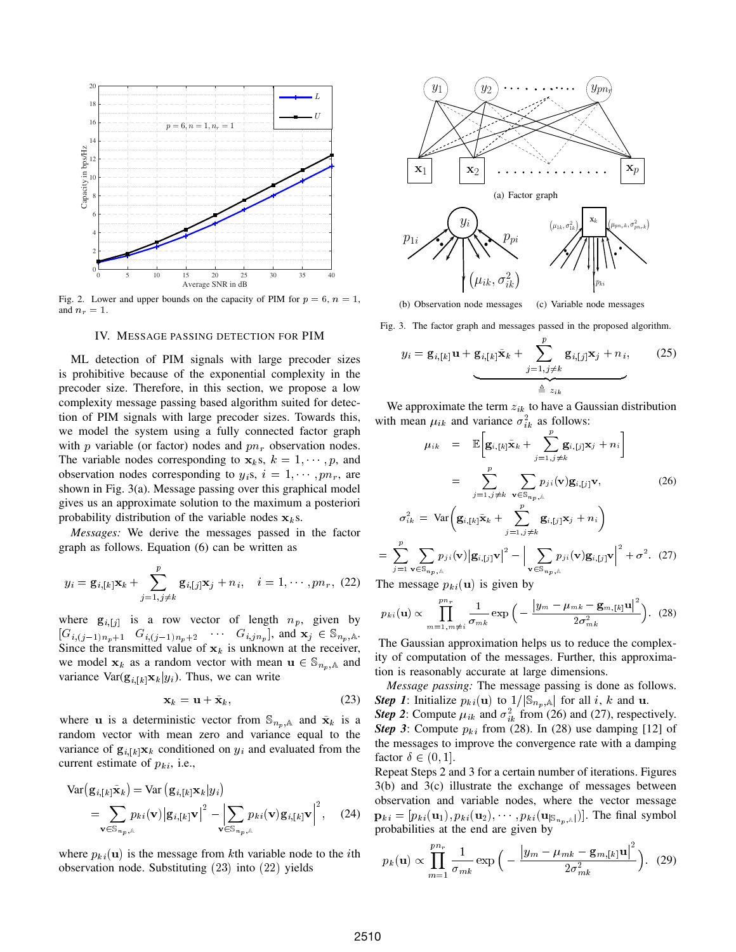

Fig. 2. Lower and upper bounds on the capacity of PIM for  $p = 6$ ,  $n = 1$ , and  $n_r = 1$ .

## IV. MESSAGE PASSING DETECTION FOR PIM

ML detection of PIM signals with large precoder sizes is prohibitive because of the exponential complexity in the precoder size. Therefore, in this section, we propose a low complexity message passing based algorithm suited for detection of PIM signals with large precoder sizes. Towards this, we model the system using a fully connected factor graph with  $p$  variable (or factor) nodes and  $pn_r$  observation nodes. The variable nodes corresponding to  $x_k$ s,  $k = 1, \dots, p$ , and observation nodes corresponding to  $y_i$ s,  $i = 1, \dots, pn_r$ , are shown in Fig. 3(a). Message passing over this graphical model gives us an approximate solution to the maximum a posteriori probability distribution of the variable nodes  $x_k$ s.

*Messages:* We derive the messages passed in the factor graph as follows. Equation (6) can be written as

$$
y_i = \mathbf{g}_{i,[k]} \mathbf{x}_k + \sum_{j=1,j\neq k}^{p} \mathbf{g}_{i,[j]} \mathbf{x}_j + n_i, \quad i = 1, \cdots, pn_r, (22)
$$

where  $g_{i,[j]}$  is a row vector of length  $n_p$ , given by  $[G_{i,(j-1)n_p+1} \quad G_{i,(j-1)n_p+2} \quad \cdots \quad G_{i,jn_p}],$  and  $\mathbf{x}_j \in \mathbb{S}_{n_p,\mathbb{A}}$ . Since the transmitted value of  $x_k$  is unknown at the receiver, we model  $x_k$  as a random vector with mean  $u \in \mathbb{S}_{n_n,\mathbb{A}}$  and variance  $\text{Var}(\mathbf{g}_{i,[k]}\mathbf{x}_k|y_i)$ . Thus, we can write

$$
\mathbf{x}_k = \mathbf{u} + \tilde{\mathbf{x}}_k, \tag{23}
$$

where **u** is a deterministic vector from  $\mathbb{S}_{n_n,\mathbb{A}}$  and  $\tilde{\mathbf{x}}_k$  is a random vector with mean zero and variance equal to the variance of  $\mathbf{g}_{i,[k]}\mathbf{x}_k$  conditioned on  $y_i$  and evaluated from the current estimate of  $p_{ki}$ , i.e.,

$$
\begin{split} \text{Var}\big(\mathbf{g}_{i,[k]}\tilde{\mathbf{x}}_{k}\big) &= \text{Var}\big(\mathbf{g}_{i,[k]}\mathbf{x}_{k}\big|y_{i}\big) \\ &= \sum_{\mathbf{v}\in\mathbb{S}_{n_{p},k}} p_{ki}(\mathbf{v})\big|\mathbf{g}_{i,[k]}\mathbf{v}\big|^{2} - \left|\sum_{\mathbf{v}\in\mathbb{S}_{n_{p},k}} p_{ki}(\mathbf{v})\mathbf{g}_{i,[k]}\mathbf{v}\right|^{2},\end{split} \tag{24}
$$

where  $p_{ki}(\mathbf{u})$  is the message from kth variable node to the *i*th observation node. Substituting (23) into (22) yields



(b) Observation node messages (c) Variable node messages

Fig. 3. The factor graph and messages passed in the proposed algorithm.

$$
y_i = \mathbf{g}_{i,[k]} \mathbf{u} + \mathbf{g}_{i,[k]} \tilde{\mathbf{x}}_k + \sum_{j=1,j\neq k}^{p} \mathbf{g}_{i,[j]} \mathbf{x}_j + n_i,
$$
 (25)

We approximate the term  $z_{ik}$  to have a Gaussian distribution with mean  $\mu_{ik}$  and variance  $\sigma_{ik}^2$  as follows:

$$
\mu_{ik} = \mathbb{E}\Big[\mathbf{g}_{i,[k]}\tilde{\mathbf{x}}_{k} + \sum_{j=1,j\neq k}^{p} \mathbf{g}_{i,[j]}\mathbf{x}_{j} + n_{i}\Big]
$$

$$
= \sum_{j=1,j\neq k}^{p} \sum_{\mathbf{v} \in \mathbb{S}_{np,k}} p_{ji}(\mathbf{v})\mathbf{g}_{i,[j]}\mathbf{v}, \qquad (26)
$$

$$
\sigma_{ik}^{2} = \text{Var}\Big(\mathbf{g}_{i,[k]}\tilde{\mathbf{x}}_{k} + \sum_{j=1,j\neq k}^{p} \mathbf{g}_{i,[j]}\mathbf{x}_{j} + n_{i}\Big)
$$

$$
\sum_{j=1}^{p} \sum_{\mathbf{v} \in \mathbb{S}_{n_p,\mathbb{A}}} p_{ji}(\mathbf{v}) \left| \mathbf{g}_{i,[j]} \mathbf{v} \right|^2 - \left| \sum_{\mathbf{v} \in \mathbb{S}_{n_p,\mathbb{A}}} p_{ji}(\mathbf{v}) \mathbf{g}_{i,[j]} \mathbf{v} \right|^2 + \sigma^2. (27)
$$

The message  $p_{ki}(\mathbf{u})$  is given by

=

$$
p_{ki}(\mathbf{u}) \propto \prod_{m=1,m\neq i}^{pn_r} \frac{1}{\sigma_{mk}} \exp\Big(-\frac{\big|y_m - \mu_{mk} - \mathbf{g}_{m,[k]} \mathbf{u}\big|^2}{2\sigma_{mk}^2}\Big). \tag{28}
$$

The Gaussian approximation helps us to reduce the complexity of computation of the messages. Further, this approximation is reasonably accurate at large dimensions.

*Message passing:* The message passing is done as follows. *Step 1*: Initialize  $p_{ki}(\mathbf{u})$  to  $1/|\mathbb{S}_{n_{i},\mathbb{A}}|$  for all i, k and **u**.

**Step 2:** Compute  $\mu_{ik}$  and  $\sigma_{ik}^2$  from (26) and (27), respectively. *Step 3*: Compute  $p_{ki}$  from (28). In (28) use damping [12] of the messages to improve the convergence rate with a damping factor  $\delta \in (0, 1]$ .

Repeat Steps 2 and 3 for a certain number of iterations. Figures 3(b) and 3(c) illustrate the exchange of messages between observation and variable nodes, where the vector message  $\mathbf{p}_{ki} = [p_{ki}(\mathbf{u}_1), p_{ki}(\mathbf{u}_2), \cdots, p_{ki}(\mathbf{u}_{|\mathcal{S}_{n_n,k}|})]$ . The final symbol probabilities at the end are given by

$$
p_k(\mathbf{u}) \propto \prod_{m=1}^{pn_r} \frac{1}{\sigma_{mk}} \exp\Big(-\frac{\big|y_m - \mu_{mk} - \mathbf{g}_{m,[k]}\mathbf{u}\big|^2}{2\sigma_{mk}^2}\Big). \tag{29}
$$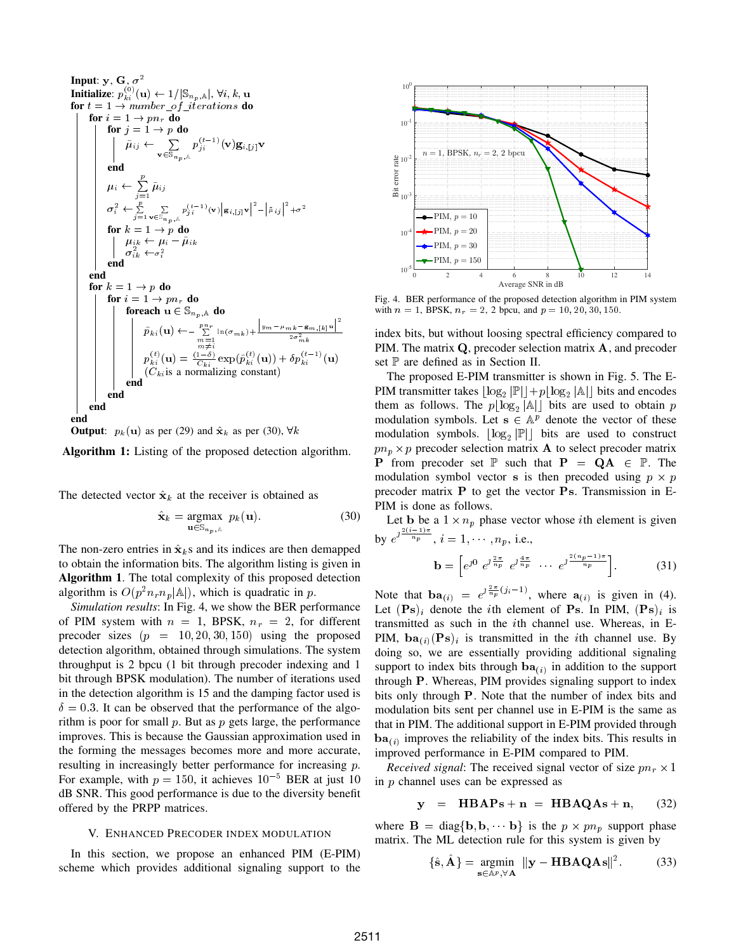Input: y, G, 
$$
\sigma^2
$$
  
\n**Initialize:**  $p_{k}^{(0)}(\mathbf{u}) \leftarrow 1/|\mathbb{S}_{n_p,\mathbb{A}}|, \forall i, k, \mathbf{u}$   
\nfor  $t = 1 \rightarrow number_{of\_iterations}$  do  
\nfor  $i = 1 \rightarrow pn$ , do  
\nfor  $j = 1 \rightarrow p$  do  
\n $\tilde{\mu}_{ij} \leftarrow \sum_{\mathbf{v} \in \mathbb{S}_{n_p,\mathbb{A}}} p_{ji}^{(t-1)}(\mathbf{v}) \mathbf{g}_{i,[j]}\mathbf{v}$   
\nend  
\n $\mu_i \leftarrow \sum_{j=1}^p \tilde{\mu}_{ij}$   
\n $\sigma_i^2 \leftarrow \sum_{j=1}^p \mathbb{Z}_{\mathbb{B}} \sum_{\mathbf{v} \in \mathbb{S}_{n_p,\mathbb{A}}} p_{ji}^{(t-1)}(\mathbf{v}) |\mathbf{g}_{i,[j]}\mathbf{v}|^2 - |\tilde{\mu}_{ij}|^2 + \sigma^2$   
\nfor  $k = 1 \rightarrow p$  do  
\n $\mu_{ik} \leftarrow \mu_i - \tilde{\mu}_{ik}$   
\nend  
\nend  
\nfor  $k = 1 \rightarrow p$  do  
\nfor  $i = 1 \rightarrow pn$ , do  
\nfor  $i = 1 \rightarrow pn$ , do  
\nfor  $i = 1 \rightarrow pn$ , do  
\nfor each  $\mathbf{u} \in \mathbb{S}_{n_p,\mathbb{A}}$  do  
\n $\tilde{p}_{ki}(\mathbf{u}) \leftarrow \sum_{\substack{m=1 \ m \neq i}}^{p_n} \ln(\sigma_{mk}) + \frac{|\mathbf{y}_m - \mu_{mk} - \mathbf{g}_{m,[k]} \mathbf{u}|^2}{2\sigma_{mk}^2}$   
\n $p_{ki}^{(t)}(\mathbf{u}) = \frac{(1-\delta)}{C_{ki}} \exp(\tilde{p}_{ki}^{(t)}(\mathbf{u})) + \delta p_{ki}^{(t-1)}(\mathbf{u})$   
\nend  
\nend  
\nend  
\n



Algorithm 1: Listing of the proposed detection algorithm.

The detected vector  $\hat{\mathbf{x}}_k$  at the receiver is obtained as

$$
\hat{\mathbf{x}}_k = \underset{\mathbf{u} \in \mathbb{S}_{n_p,k}}{\text{argmax}} \ p_k(\mathbf{u}). \tag{30}
$$

The non-zero entries in  $\hat{\mathbf{x}}_k$ s and its indices are then demapped to obtain the information bits. The algorithm listing is given in Algorithm 1. The total complexity of this proposed detection algorithm is  $O(p^2 n_r n_p |\mathbb{A}|)$ , which is quadratic in p.

*Simulation results*: In Fig. 4, we show the BER performance of PIM system with  $n = 1$ , BPSK,  $n_r = 2$ , for different precoder sizes  $(p = 10, 20, 30, 150)$  using the proposed detection algorithm, obtained through simulations. The system throughput is 2 bpcu (1 bit through precoder indexing and 1 bit through BPSK modulation). The number of iterations used in the detection algorithm is 15 and the damping factor used is  $\delta = 0.3$ . It can be observed that the performance of the algorithm is poor for small  $p$ . But as  $p$  gets large, the performance improves. This is because the Gaussian approximation used in the forming the messages becomes more and more accurate, resulting in increasingly better performance for increasing p. For example, with  $p = 150$ , it achieves  $10^{-5}$  BER at just 10 dB SNR. This good performance is due to the diversity benefit offered by the PRPP matrices.

# V. ENHANCED PRECODER INDEX MODULATION

In this section, we propose an enhanced PIM (E-PIM) scheme which provides additional signaling support to the



Fig. 4. BER performance of the proposed detection algorithm in PIM system with  $n = 1$ , BPSK,  $n_r = 2$ , 2 bpcu, and  $p = 10, 20, 30, 150$ .

index bits, but without loosing spectral efficiency compared to PIM. The matrix Q, precoder selection matrix A, and precoder set  $\mathbb P$  are defined as in Section II.

The proposed E-PIM transmitter is shown in Fig. 5. The E-PIM transmitter takes  $\lfloor \log_2 |\mathbb{P}| \rfloor + p \lfloor \log_2 |\mathbb{A}| \rfloor$  bits and encodes them as follows. The  $p\lfloor \log_2 |A| \rfloor$  bits are used to obtain p modulation symbols. Let  $s \in \mathbb{A}^p$  denote the vector of these modulation symbols.  $\lfloor \log_2 |\mathbb{P}| \rfloor$  bits are used to construct  $p n_p \times p$  precoder selection matrix **A** to select precoder matrix **P** from precoder set  $\mathbb P$  such that  $P = QA \in \mathbb P$ . The modulation symbol vector s is then precoded using  $p \times p$ precoder matrix P to get the vector Ps. Transmission in E-PIM is done as follows.

Let b be a  $1 \times n_p$  phase vector whose *i*th element is given by  $e^{\int \frac{2(i-1)\pi}{n_p}}, i = 1, \cdots, n_p$ , i.e.,

$$
\mathbf{b} = \left[ e^{j0} \ e^{j\frac{2\pi}{n_p}} \ e^{j\frac{4\pi}{n_p}} \ \cdots \ e^{j\frac{2(n_p-1)\pi}{n_p}} \right]. \tag{31}
$$

Note that  $\mathbf{ba}_{(i)} = e^{j\frac{2\pi}{n_p}(j_i-1)}$ , where  $\mathbf{a}_{(i)}$  is given in (4). Let  $(Ps)_i$  denote the *i*th element of Ps. In PIM,  $(Ps)_i$  is transmitted as such in the ith channel use. Whereas, in E-PIM,  $ba_{(i)}(Ps)_i$  is transmitted in the *i*th channel use. By doing so, we are essentially providing additional signaling support to index bits through  $ba_{(i)}$  in addition to the support through P. Whereas, PIM provides signaling support to index bits only through P. Note that the number of index bits and modulation bits sent per channel use in E-PIM is the same as that in PIM. The additional support in E-PIM provided through  $ba_{(i)}$  improves the reliability of the index bits. This results in improved performance in E-PIM compared to PIM.

*Received signal*: The received signal vector of size  $pn_r \times 1$ in p channel uses can be expressed as

$$
y = HBAPs + n = HBAQAs + n, \qquad (32)
$$

where  $\mathbf{B} = \text{diag}\{\mathbf{b}, \mathbf{b}, \cdots, \mathbf{b}\}\$ is the  $p \times p n_p$  support phase matrix. The ML detection rule for this system is given by

$$
\{\hat{\mathbf{s}}, \hat{\mathbf{A}}\} = \underset{\mathbf{s} \in \mathbb{A}^p, \forall \mathbf{A}}{\text{argmin}} \|\mathbf{y} - \mathbf{H} \mathbf{B} \mathbf{A} \mathbf{Q} \mathbf{A} \mathbf{s}\|^2. \tag{33}
$$